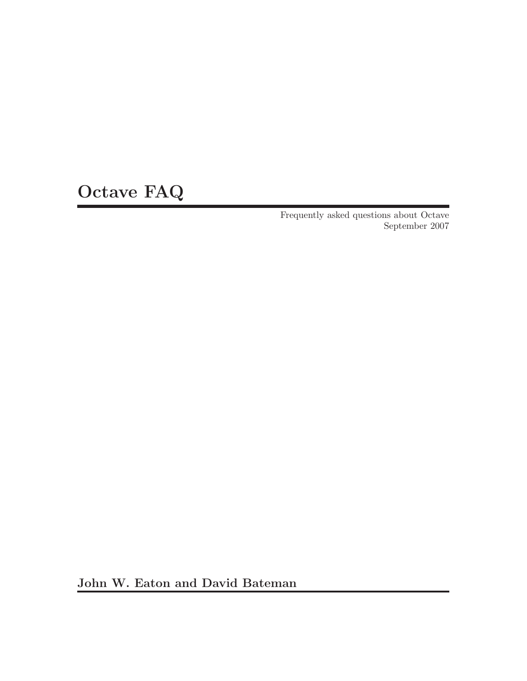# Octave FAQ

Frequently asked questions about Octave September 2007

John W. Eaton and David Bateman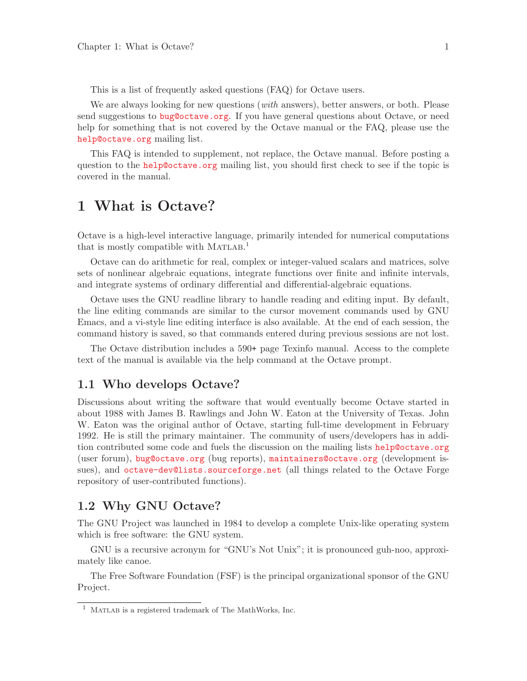<span id="page-2-0"></span>This is a list of frequently asked questions (FAQ) for Octave users.

We are always looking for new questions *(with answers)*, better answers, or both. Please send suggestions to [bug@octave.org](mailto:bug@octave.org). If you have general questions about Octave, or need help for something that is not covered by the Octave manual or the FAQ, please use the [help@octave.org](mailto:help@octave.org) mailing list.

This FAQ is intended to supplement, not replace, the Octave manual. Before posting a question to the [help@octave.org](mailto:help@octave.org) mailing list, you should first check to see if the topic is covered in the manual.

## 1 What is Octave?

Octave is a high-level interactive language, primarily intended for numerical computations that is mostly compatible with  $MATLAB.<sup>1</sup>$ 

Octave can do arithmetic for real, complex or integer-valued scalars and matrices, solve sets of nonlinear algebraic equations, integrate functions over finite and infinite intervals, and integrate systems of ordinary differential and differential-algebraic equations.

Octave uses the GNU readline library to handle reading and editing input. By default, the line editing commands are similar to the cursor movement commands used by GNU Emacs, and a vi-style line editing interface is also available. At the end of each session, the command history is saved, so that commands entered during previous sessions are not lost.

The Octave distribution includes a 590+ page Texinfo manual. Access to the complete text of the manual is available via the help command at the Octave prompt.

#### 1.1 Who develops Octave?

Discussions about writing the software that would eventually become Octave started in about 1988 with James B. Rawlings and John W. Eaton at the University of Texas. John W. Eaton was the original author of Octave, starting full-time development in February 1992. He is still the primary maintainer. The community of users/developers has in addition contributed some code and fuels the discussion on the mailing lists [help@octave.org](mailto:help@octave.org) (user forum), [bug@octave.org](mailto:bug@octave.org) (bug reports), [maintainers@octave.org](mailto:maintainers@octave.org) (development issues), and [octave-dev@lists.sourceforge.net](mailto:octave-dev@lists.sourceforge.net) (all things related to the Octave Forge repository of user-contributed functions).

#### 1.2 Why GNU Octave?

The GNU Project was launched in 1984 to develop a complete Unix-like operating system which is free software: the GNU system.

GNU is a recursive acronym for "GNU's Not Unix"; it is pronounced guh-noo, approximately like canoe.

The Free Software Foundation (FSF) is the principal organizational sponsor of the GNU Project.

 $1$  MATLAB is a registered trademark of The MathWorks, Inc.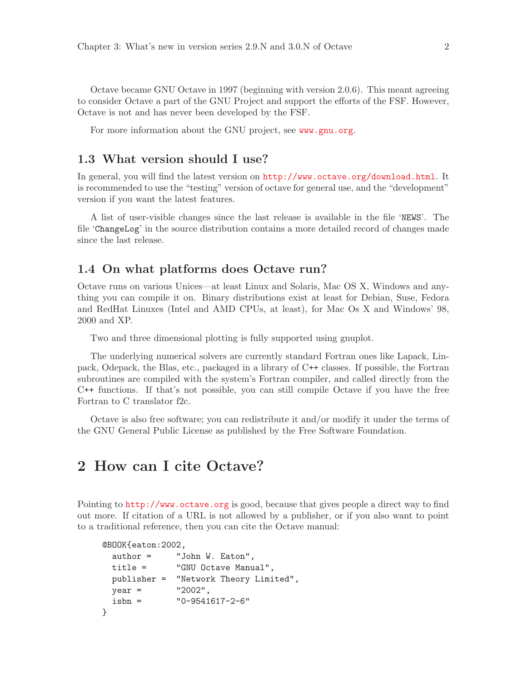<span id="page-3-0"></span>Octave became GNU Octave in 1997 (beginning with version 2.0.6). This meant agreeing to consider Octave a part of the GNU Project and support the efforts of the FSF. However, Octave is not and has never been developed by the FSF.

For more information about the GNU project, see <www.gnu.org>.

#### 1.3 What version should I use?

In general, you will find the latest version on <http://www.octave.org/download.html>. It is recommended to use the "testing" version of octave for general use, and the "development" version if you want the latest features.

A list of user-visible changes since the last release is available in the file 'NEWS'. The file 'ChangeLog' in the source distribution contains a more detailed record of changes made since the last release.

#### 1.4 On what platforms does Octave run?

Octave runs on various Unices—at least Linux and Solaris, Mac OS X, Windows and anything you can compile it on. Binary distributions exist at least for Debian, Suse, Fedora and RedHat Linuxes (Intel and AMD CPUs, at least), for Mac Os X and Windows' 98, 2000 and XP.

Two and three dimensional plotting is fully supported using gnuplot.

The underlying numerical solvers are currently standard Fortran ones like Lapack, Linpack, Odepack, the Blas, etc., packaged in a library of C++ classes. If possible, the Fortran subroutines are compiled with the system's Fortran compiler, and called directly from the C++ functions. If that's not possible, you can still compile Octave if you have the free Fortran to C translator f2c.

Octave is also free software; you can redistribute it and/or modify it under the terms of the GNU General Public License as published by the Free Software Foundation.

### 2 How can I cite Octave?

Pointing to <http://www.octave.org> is good, because that gives people a direct way to find out more. If citation of a URL is not allowed by a publisher, or if you also want to point to a traditional reference, then you can cite the Octave manual:

```
@BOOK{eaton:2002,
```

```
author = "John W. Eaton",
 title = "GNU Octave Manual",
 publisher = "Network Theory Limited",
 year = "2002",
 isbn = "0-9541617-2-6"
}
```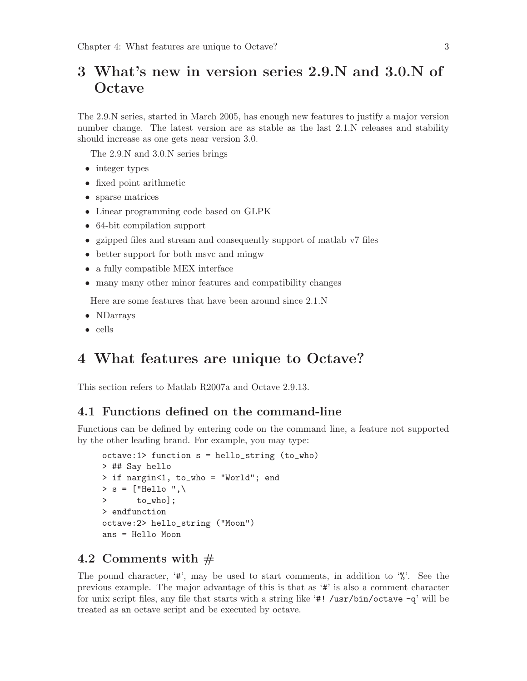## <span id="page-4-0"></span>3 What's new in version series 2.9.N and 3.0.N of **Octave**

The 2.9.N series, started in March 2005, has enough new features to justify a major version number change. The latest version are as stable as the last 2.1.N releases and stability should increase as one gets near version 3.0.

The 2.9.N and 3.0.N series brings

- integer types
- fixed point arithmetic
- sparse matrices
- Linear programming code based on GLPK
- 64-bit compilation support
- gzipped files and stream and consequently support of matlab v7 files
- better support for both msvc and mingw
- a fully compatible MEX interface
- many many other minor features and compatibility changes

Here are some features that have been around since 2.1.N

- NDarrays
- cells

### 4 What features are unique to Octave?

This section refers to Matlab R2007a and Octave 2.9.13.

#### 4.1 Functions defined on the command-line

Functions can be defined by entering code on the command line, a feature not supported by the other leading brand. For example, you may type:

```
octave:1> function s = hello_string (to_who)
> ## Say hello
> if nargin<1, to_who = "World"; end
> s = ["Hello ",\
> to_who];
> endfunction
octave:2> hello_string ("Moon")
ans = Hello Moon
```
#### 4.2 Comments with  $#$

The pound character,  $\sharp$ , may be used to start comments, in addition to  $\mathcal{C}$ . See the previous example. The major advantage of this is that as '#' is also a comment character for unix script files, any file that starts with a string like '#! /usr/bin/octave  $-q'$  will be treated as an octave script and be executed by octave.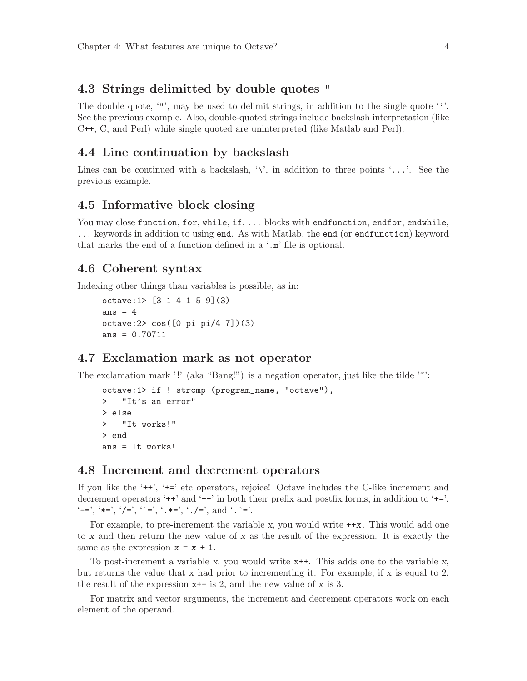#### <span id="page-5-0"></span>4.3 Strings delimitted by double quotes "

The double quote, '"', may be used to delimit strings, in addition to the single quote ''. See the previous example. Also, double-quoted strings include backslash interpretation (like C++, C, and Perl) while single quoted are uninterpreted (like Matlab and Perl).

#### 4.4 Line continuation by backslash

Lines can be continued with a backslash,  $\setminus$ , in addition to three points  $\cdot \ldots$ . See the previous example.

#### 4.5 Informative block closing

You may close function, for, while, if, ... blocks with endfunction, endfor, endwhile, . . . keywords in addition to using end. As with Matlab, the end (or endfunction) keyword that marks the end of a function defined in a '.m' file is optional.

#### 4.6 Coherent syntax

Indexing other things than variables is possible, as in:

```
octave:1> [3 1 4 1 5 9](3)
ans = 4octave:2> cos([0 pi pi/4 7])(3)
ans = 0.70711
```
#### 4.7 Exclamation mark as not operator

The exclamation mark '!' (aka "Bang!") is a negation operator, just like the tilde ' $\sim$ ':

```
octave:1> if ! strcmp (program_name, "octave"),
> "It's an error"
> else
> "It works!"
> end
ans = It works!
```
#### 4.8 Increment and decrement operators

If you like the '++', '+=' etc operators, rejoice! Octave includes the C-like increment and decrement operators ' $++'$  and ' $-$ ' in both their prefix and postfix forms, in addition to ' $+='$ ,  $'=-'$ ,  $'*=', '=-', '='', '='', '.*='', '.-/='', and '.-=''.$ 

For example, to pre-increment the variable x, you would write  $++x$ . This would add one to x and then return the new value of x as the result of the expression. It is exactly the same as the expression  $x = x + 1$ .

To post-increment a variable x, you would write x++. This adds one to the variable x, but returns the value that x had prior to incrementing it. For example, if x is equal to 2, the result of the expression  $x++$  is 2, and the new value of x is 3.

For matrix and vector arguments, the increment and decrement operators work on each element of the operand.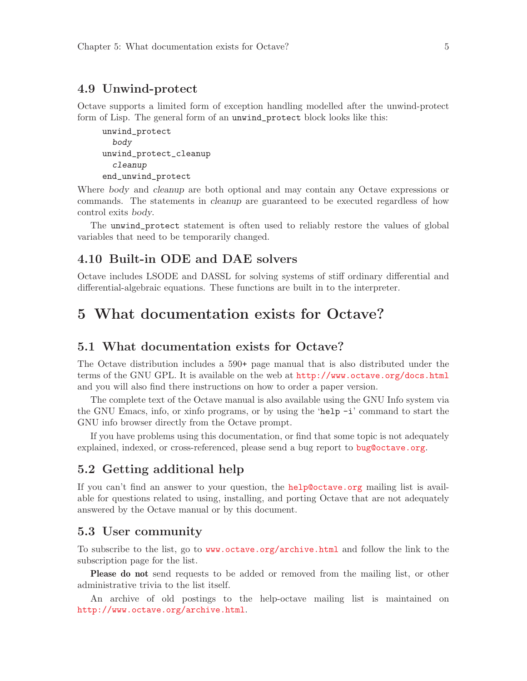#### <span id="page-6-0"></span>4.9 Unwind-protect

Octave supports a limited form of exception handling modelled after the unwind-protect form of Lisp. The general form of an unwind\_protect block looks like this:

```
unwind_protect
  body
unwind_protect_cleanup
  cleanup
end_unwind_protect
```
Where body and cleanup are both optional and may contain any Octave expressions or commands. The statements in cleanup are guaranteed to be executed regardless of how control exits body.

The unwind\_protect statement is often used to reliably restore the values of global variables that need to be temporarily changed.

#### 4.10 Built-in ODE and DAE solvers

Octave includes LSODE and DASSL for solving systems of stiff ordinary differential and differential-algebraic equations. These functions are built in to the interpreter.

### 5 What documentation exists for Octave?

#### 5.1 What documentation exists for Octave?

The Octave distribution includes a 590+ page manual that is also distributed under the terms of the GNU GPL. It is available on the web at <http://www.octave.org/docs.html> and you will also find there instructions on how to order a paper version.

The complete text of the Octave manual is also available using the GNU Info system via the GNU Emacs, info, or xinfo programs, or by using the 'help -i' command to start the GNU info browser directly from the Octave prompt.

If you have problems using this documentation, or find that some topic is not adequately explained, indexed, or cross-referenced, please send a bug report to [bug@octave.org](mailto:bug@octave.org).

#### 5.2 Getting additional help

If you can't find an answer to your question, the [help@octave.org](mailto:help@octave.org) mailing list is available for questions related to using, installing, and porting Octave that are not adequately answered by the Octave manual or by this document.

#### 5.3 User community

To subscribe to the list, go to <www.octave.org/archive.html> and follow the link to the subscription page for the list.

Please do not send requests to be added or removed from the mailing list, or other administrative trivia to the list itself.

An archive of old postings to the help-octave mailing list is maintained on <http://www.octave.org/archive.html>.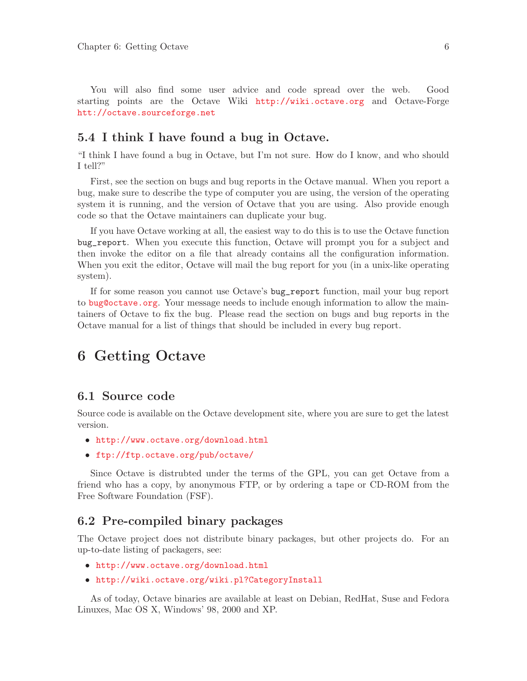<span id="page-7-0"></span>You will also find some user advice and code spread over the web. Good starting points are the Octave Wiki <http://wiki.octave.org> and Octave-Forge <htt://octave.sourceforge.net>

#### 5.4 I think I have found a bug in Octave.

"I think I have found a bug in Octave, but I'm not sure. How do I know, and who should I tell?"

First, see the section on bugs and bug reports in the Octave manual. When you report a bug, make sure to describe the type of computer you are using, the version of the operating system it is running, and the version of Octave that you are using. Also provide enough code so that the Octave maintainers can duplicate your bug.

If you have Octave working at all, the easiest way to do this is to use the Octave function bug\_report. When you execute this function, Octave will prompt you for a subject and then invoke the editor on a file that already contains all the configuration information. When you exit the editor, Octave will mail the bug report for you (in a unix-like operating system).

If for some reason you cannot use Octave's bug\_report function, mail your bug report to [bug@octave.org](mailto:bug@octave.org). Your message needs to include enough information to allow the maintainers of Octave to fix the bug. Please read the section on bugs and bug reports in the Octave manual for a list of things that should be included in every bug report.

## 6 Getting Octave

#### 6.1 Source code

Source code is available on the Octave development site, where you are sure to get the latest version.

- <http://www.octave.org/download.html>
- <ftp://ftp.octave.org/pub/octave/>

Since Octave is distrubted under the terms of the GPL, you can get Octave from a friend who has a copy, by anonymous FTP, or by ordering a tape or CD-ROM from the Free Software Foundation (FSF).

#### 6.2 Pre-compiled binary packages

The Octave project does not distribute binary packages, but other projects do. For an up-to-date listing of packagers, see:

- <http://www.octave.org/download.html>
- <http://wiki.octave.org/wiki.pl?CategoryInstall>

As of today, Octave binaries are available at least on Debian, RedHat, Suse and Fedora Linuxes, Mac OS X, Windows' 98, 2000 and XP.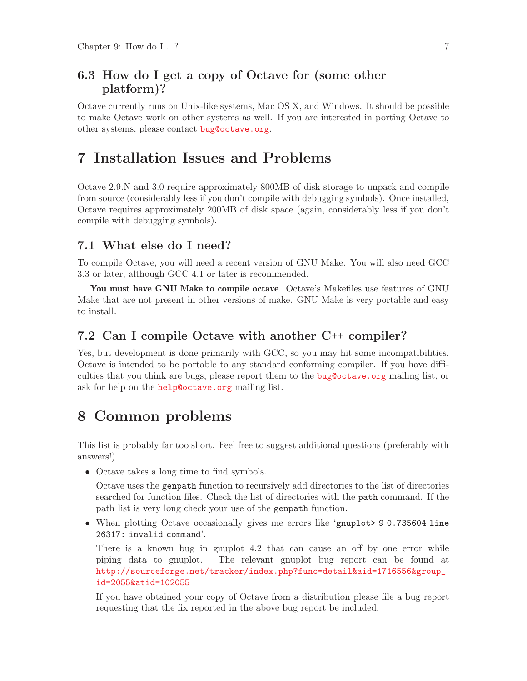#### <span id="page-8-0"></span>6.3 How do I get a copy of Octave for (some other platform)?

Octave currently runs on Unix-like systems, Mac OS X, and Windows. It should be possible to make Octave work on other systems as well. If you are interested in porting Octave to other systems, please contact [bug@octave.org](mailto:bug@octave.org).

### 7 Installation Issues and Problems

Octave 2.9.N and 3.0 require approximately 800MB of disk storage to unpack and compile from source (considerably less if you don't compile with debugging symbols). Once installed, Octave requires approximately 200MB of disk space (again, considerably less if you don't compile with debugging symbols).

#### 7.1 What else do I need?

To compile Octave, you will need a recent version of GNU Make. You will also need GCC 3.3 or later, although GCC 4.1 or later is recommended.

You must have GNU Make to compile octave. Octave's Makefiles use features of GNU Make that are not present in other versions of make. GNU Make is very portable and easy to install.

#### 7.2 Can I compile Octave with another C++ compiler?

Yes, but development is done primarily with GCC, so you may hit some incompatibilities. Octave is intended to be portable to any standard conforming compiler. If you have difficulties that you think are bugs, please report them to the [bug@octave.org](mailto:bug@octave.org) mailing list, or ask for help on the [help@octave.org](mailto:help@octave.org) mailing list.

### 8 Common problems

This list is probably far too short. Feel free to suggest additional questions (preferably with answers!)

• Octave takes a long time to find symbols.

Octave uses the genpath function to recursively add directories to the list of directories searched for function files. Check the list of directories with the path command. If the path list is very long check your use of the genpath function.

• When plotting Octave occasionally gives me errors like 'gnuplot> 9 0.735604 line 26317: invalid command'.

There is a known bug in gnuplot 4.2 that can cause an off by one error while piping data to gnuplot. The relevant gnuplot bug report can be found at [http://sourceforge.net/tracker/index.php?func=detail&aid=1716556&group\\_](http://sourceforge.net/tracker/index.php?func=detail&aid=1716556&group_id=2055&atid=102055) [id=2055&atid=102055](http://sourceforge.net/tracker/index.php?func=detail&aid=1716556&group_id=2055&atid=102055)

If you have obtained your copy of Octave from a distribution please file a bug report requesting that the fix reported in the above bug report be included.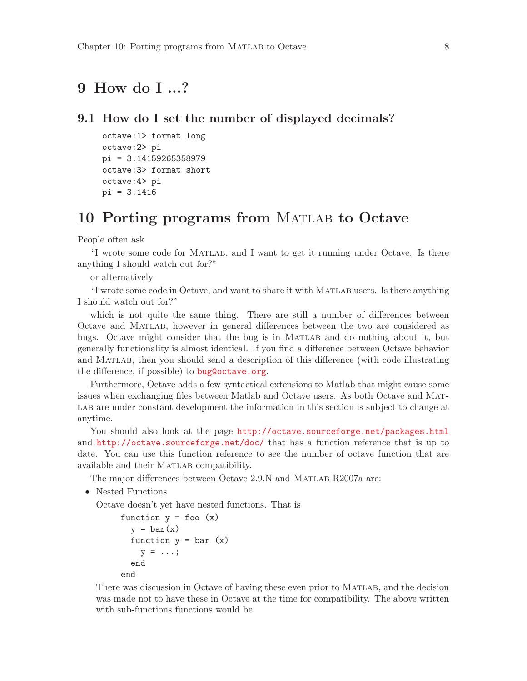## <span id="page-9-0"></span>9 How do I ...?

```
9.1 How do I set the number of displayed decimals?
```

```
octave:1> format long
octave:2> pi
pi = 3.14159265358979
octave:3> format short
octave:4> pi
pi = 3.1416
```
## 10 Porting programs from MATLAB to Octave

People often ask

"I wrote some code for Matlab, and I want to get it running under Octave. Is there anything I should watch out for?"

or alternatively

"I wrote some code in Octave, and want to share it with Matlab users. Is there anything I should watch out for?"

which is not quite the same thing. There are still a number of differences between Octave and Matlab, however in general differences between the two are considered as bugs. Octave might consider that the bug is in Matlab and do nothing about it, but generally functionality is almost identical. If you find a difference between Octave behavior and MATLAB, then you should send a description of this difference (with code illustrating the difference, if possible) to [bug@octave.org](mailto:bug@octave.org).

Furthermore, Octave adds a few syntactical extensions to Matlab that might cause some issues when exchanging files between Matlab and Octave users. As both Octave and Mat-LAB are under constant development the information in this section is subject to change at anytime.

You should also look at the page  $http://octave.sourceforge.net/packages.html$ and <http://octave.sourceforge.net/doc/> that has a function reference that is up to date. You can use this function reference to see the number of octave function that are available and their MATLAB compatibility.

The major differences between Octave 2.9.N and MATLAB R2007a are:

• Nested Functions

Octave doesn't yet have nested functions. That is

```
function y = foo (x)y = bar(x)function y = bar(x)y = \ldots;end
end
```
There was discussion in Octave of having these even prior to Matlab, and the decision was made not to have these in Octave at the time for compatibility. The above written with sub-functions functions would be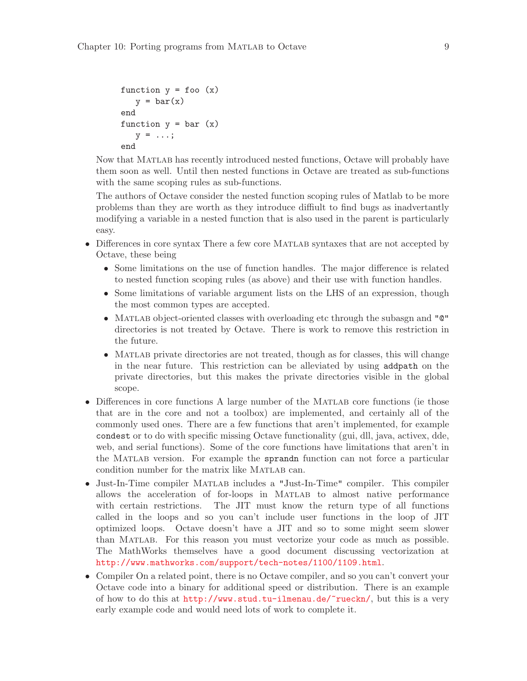```
function y = foo(x)y = bar(x)end
function y = bar(x)y = \ldots;end
```
Now that Matlab has recently introduced nested functions, Octave will probably have them soon as well. Until then nested functions in Octave are treated as sub-functions with the same scoping rules as sub-functions.

The authors of Octave consider the nested function scoping rules of Matlab to be more problems than they are worth as they introduce diffiult to find bugs as inadvertantly modifying a variable in a nested function that is also used in the parent is particularly easy.

- Differences in core syntax There a few core MATLAB syntaxes that are not accepted by Octave, these being
	- Some limitations on the use of function handles. The major difference is related to nested function scoping rules (as above) and their use with function handles.
	- Some limitations of variable argument lists on the LHS of an expression, though the most common types are accepted.
	- Matlab object-oriented classes with overloading etc through the subasgn and "@" directories is not treated by Octave. There is work to remove this restriction in the future.
	- MATLAB private directories are not treated, though as for classes, this will change in the near future. This restriction can be alleviated by using addpath on the private directories, but this makes the private directories visible in the global scope.
- Differences in core functions A large number of the MATLAB core functions (ie those that are in the core and not a toolbox) are implemented, and certainly all of the commonly used ones. There are a few functions that aren't implemented, for example condest or to do with specific missing Octave functionality (gui, dll, java, activex, dde, web, and serial functions). Some of the core functions have limitations that aren't in the MATLAB version. For example the sprandn function can not force a particular condition number for the matrix like MATLAB can.
- Just-In-Time compiler MATLAB includes a "Just-In-Time" compiler. This compiler allows the acceleration of for-loops in Matlab to almost native performance with certain restrictions. The JIT must know the return type of all functions called in the loops and so you can't include user functions in the loop of JIT optimized loops. Octave doesn't have a JIT and so to some might seem slower than Matlab. For this reason you must vectorize your code as much as possible. The MathWorks themselves have a good document discussing vectorization at <http://www.mathworks.com/support/tech-notes/1100/1109.html>.
- Compiler On a related point, there is no Octave compiler, and so you can't convert your Octave code into a binary for additional speed or distribution. There is an example of how to do this at <http://www.stud.tu-ilmenau.de/~rueckn/>, but this is a very early example code and would need lots of work to complete it.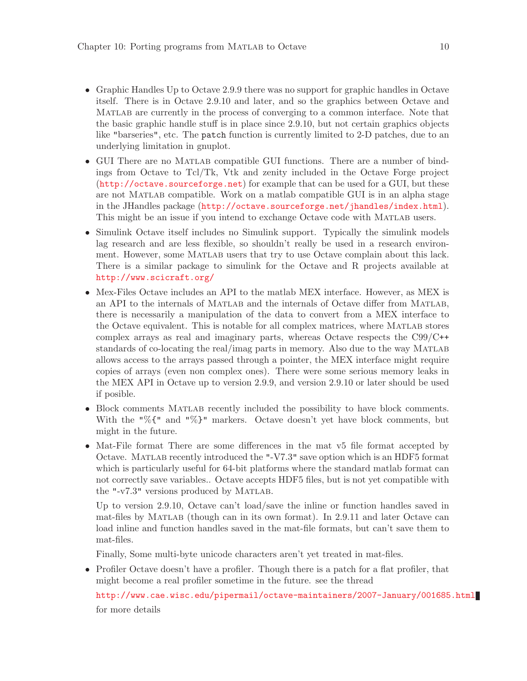- Graphic Handles Up to Octave 2.9.9 there was no support for graphic handles in Octave itself. There is in Octave 2.9.10 and later, and so the graphics between Octave and Matlab are currently in the process of converging to a common interface. Note that the basic graphic handle stuff is in place since 2.9.10, but not certain graphics objects like "barseries", etc. The patch function is currently limited to 2-D patches, due to an underlying limitation in gnuplot.
- GUI There are no Matlab compatible GUI functions. There are a number of bindings from Octave to Tcl/Tk, Vtk and zenity included in the Octave Forge project (<http://octave.sourceforge.net>) for example that can be used for a GUI, but these are not Matlab compatible. Work on a matlab compatible GUI is in an alpha stage in the JHandles package (<http://octave.sourceforge.net/jhandles/index.html>). This might be an issue if you intend to exchange Octave code with Matlab users.
- Simulink Octave itself includes no Simulink support. Typically the simulink models lag research and are less flexible, so shouldn't really be used in a research environment. However, some Matlab users that try to use Octave complain about this lack. There is a similar package to simulink for the Octave and R projects available at <http://www.scicraft.org/>
- Mex-Files Octave includes an API to the matlab MEX interface. However, as MEX is an API to the internals of Matlab and the internals of Octave differ from Matlab, there is necessarily a manipulation of the data to convert from a MEX interface to the Octave equivalent. This is notable for all complex matrices, where Matlab stores complex arrays as real and imaginary parts, whereas Octave respects the C99/C++ standards of co-locating the real/imag parts in memory. Also due to the way Matlab allows access to the arrays passed through a pointer, the MEX interface might require copies of arrays (even non complex ones). There were some serious memory leaks in the MEX API in Octave up to version 2.9.9, and version 2.9.10 or later should be used if posible.
- Block comments MATLAB recently included the possibility to have block comments. With the "%{" and "%}" markers. Octave doesn't yet have block comments, but might in the future.
- Mat-File format There are some differences in the mat v5 file format accepted by Octave. Matlab recently introduced the "-V7.3" save option which is an HDF5 format which is particularly useful for 64-bit platforms where the standard matlab format can not correctly save variables.. Octave accepts HDF5 files, but is not yet compatible with the "- $v7.3$ " versions produced by MATLAB.

Up to version 2.9.10, Octave can't load/save the inline or function handles saved in mat-files by Matlab (though can in its own format). In 2.9.11 and later Octave can load inline and function handles saved in the mat-file formats, but can't save them to mat-files.

Finally, Some multi-byte unicode characters aren't yet treated in mat-files.

• Profiler Octave doesn't have a profiler. Though there is a patch for a flat profiler, that might become a real profiler sometime in the future. see the thread

<http://www.cae.wisc.edu/pipermail/octave-maintainers/2007-January/001685.html> for more details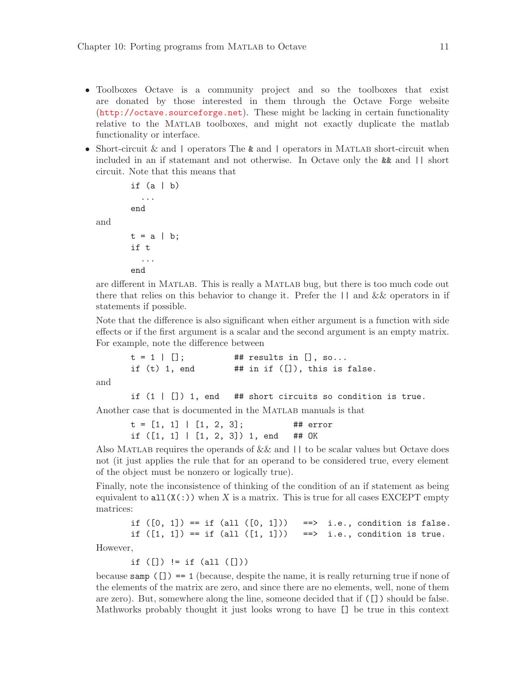- Toolboxes Octave is a community project and so the toolboxes that exist are donated by those interested in them through the Octave Forge website (<http://octave.sourceforge.net>). These might be lacking in certain functionality relative to the Matlab toolboxes, and might not exactly duplicate the matlab functionality or interface.
- Short-circuit & and  $\vert$  operators The & and  $\vert$  operators in MATLAB short-circuit when included in an if statemant and not otherwise. In Octave only the && and || short circuit. Note that this means that

```
if (a | b)
  ...
end
t = a \mid b;if t
  ...
```
end

are different in Matlab. This is really a Matlab bug, but there is too much code out there that relies on this behavior to change it. Prefer the  $|| \cdot ||$  and  $\&\&$  operators in if statements if possible.

Note that the difference is also significant when either argument is a function with side effects or if the first argument is a scalar and the second argument is an empty matrix. For example, note the difference between

```
t = 1 \mid []; ## results in [], so...
if (t) 1, end # ## in if ([ ]), this is false.
```
and

and

if  $(1 | [])$  1, end ## short circuits so condition is true. Another case that is documented in the MATLAB manuals is that

> $t = [1, 1] | [1, 2, 3];$  ## error if  $([1, 1] | [1, 2, 3]) 1$ , end ## OK

Also MATLAB requires the operands of  $&&\text{ and }||\,$  to be scalar values but Octave does not (it just applies the rule that for an operand to be considered true, every element of the object must be nonzero or logically true).

Finally, note the inconsistence of thinking of the condition of an if statement as being equivalent to  $all(X(:))$  when X is a matrix. This is true for all cases EXCEPT empty matrices:

```
if ([0, 1]) == if (all <math>(0, 1])</math>) == <math>></math> i.e., condition is false.if ([1, 1]) == if (all ([1, 1])) ==> i.e., condition is true.
```
However,

if  $([])$  != if  $(al1 ([]))$ 

because samp  $\binom{n}{k}$  = 1 (because, despite the name, it is really returning true if none of the elements of the matrix are zero, and since there are no elements, well, none of them are zero). But, somewhere along the line, someone decided that if ([]) should be false. Mathworks probably thought it just looks wrong to have [] be true in this context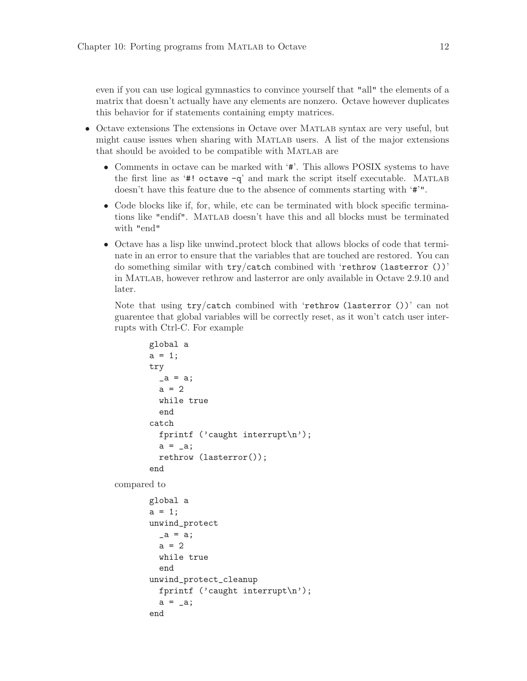even if you can use logical gymnastics to convince yourself that "all" the elements of a matrix that doesn't actually have any elements are nonzero. Octave however duplicates this behavior for if statements containing empty matrices.

- Octave extensions The extensions in Octave over MATLAB syntax are very useful, but might cause issues when sharing with Matlab users. A list of the major extensions that should be avoided to be compatible with MATLAB are
	- Comments in octave can be marked with '#'. This allows POSIX systems to have the first line as ' $\#!$  octave  $-q$ ' and mark the script itself executable. MATLAB doesn't have this feature due to the absence of comments starting with '#'".
	- Code blocks like if, for, while, etc can be terminated with block specific terminations like "endif". Matlab doesn't have this and all blocks must be terminated with "end"
	- Octave has a lisp like unwind protect block that allows blocks of code that terminate in an error to ensure that the variables that are touched are restored. You can do something similar with try/catch combined with 'rethrow (lasterror ())' in Matlab, however rethrow and lasterror are only available in Octave 2.9.10 and later.

Note that using  $try/catch$  combined with 'rethrow (lasterror ())' can not guarentee that global variables will be correctly reset, as it won't catch user interrupts with Ctrl-C. For example

```
global a
       a = 1;try
         a = a;a = 2while true
         end
       catch
         fprintf ('caught interrupt\n');
         a = a;
         rethrow (lasterror());
       end
compared to
      global a
       a = 1;
       unwind_protect
         a = a;
         a = 2while true
         end
       unwind_protect_cleanup
         fprintf ('caught interrupt\n');
         a = a;
       end
```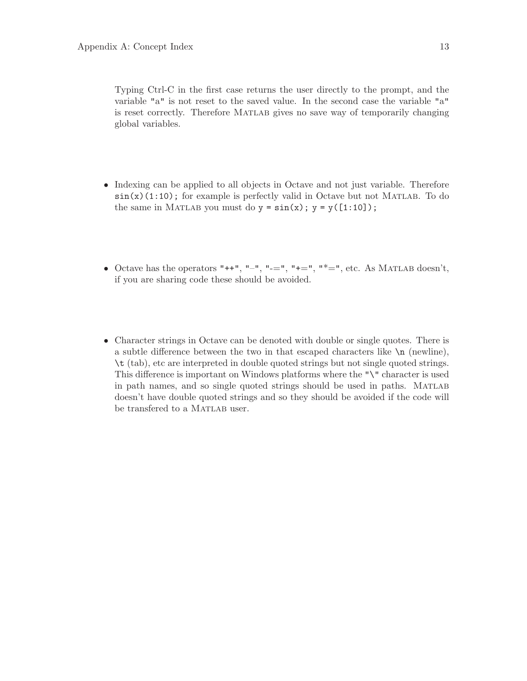<span id="page-14-0"></span>Typing Ctrl-C in the first case returns the user directly to the prompt, and the variable "a" is not reset to the saved value. In the second case the variable "a" is reset correctly. Therefore Matlab gives no save way of temporarily changing global variables.

- Indexing can be applied to all objects in Octave and not just variable. Therefore  $\sin(x)(1:10)$ ; for example is perfectly valid in Octave but not MATLAB. To do the same in MATLAB you must do  $y = sin(x)$ ;  $y = y([1:10])$ ;
- Octave has the operators "++", "-", "-=", "+=", "\*=", etc. As MATLAB doesn't, if you are sharing code these should be avoided.
- Character strings in Octave can be denoted with double or single quotes. There is a subtle difference between the two in that escaped characters like  $\n\lambda$  (newline), \t (tab), etc are interpreted in double quoted strings but not single quoted strings. This difference is important on Windows platforms where the "\" character is used in path names, and so single quoted strings should be used in paths. Matlab doesn't have double quoted strings and so they should be avoided if the code will be transfered to a MATLAB user.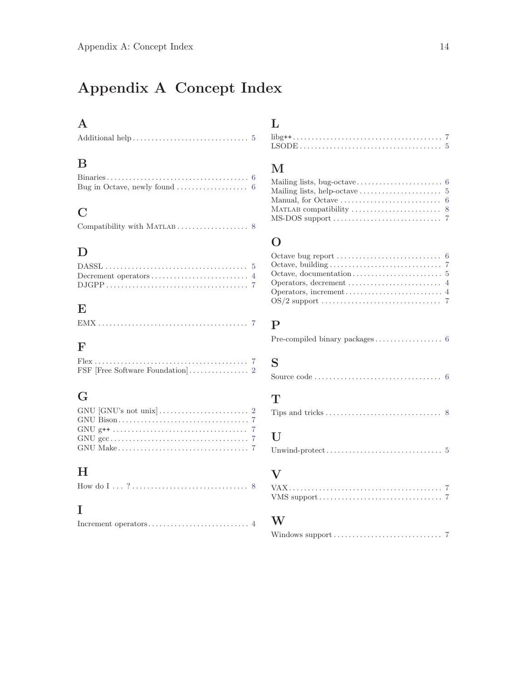# Appendix A Concept Index

## A

## B

| Bug in Octave, newly found $\ldots \ldots \ldots \ldots \ldots$ 6 |  |
|-------------------------------------------------------------------|--|

## C

|--|--|--|--|

## $\mathbf D$

## ${\bf E}$

### $\mathbf F$

## G

## $\, {\rm H}$

## I

|--|--|

# L

## M

| Mailing lists, help-octave $\dots \dots \dots \dots \dots \dots \dots$ 5   |  |
|----------------------------------------------------------------------------|--|
|                                                                            |  |
|                                                                            |  |
| $MS-DOS support \ldots \ldots \ldots \ldots \ldots \ldots \ldots \ldots 7$ |  |

## O

| Octave bug report $\dots \dots \dots \dots \dots \dots \dots$ 6 |  |
|-----------------------------------------------------------------|--|
|                                                                 |  |
|                                                                 |  |
|                                                                 |  |
|                                                                 |  |
|                                                                 |  |

## P

|--|--|--|--|--|--|--|--|--|--|--|--|--|--|--|--|--|--|--|--|

## S

|--|--|

## T

|--|

## ${\bf U}$

```
Unwind-protect. . . . . . . . . . . . . . . . . . . . . . . . . . . . . . . 5
```
### V

### W

|--|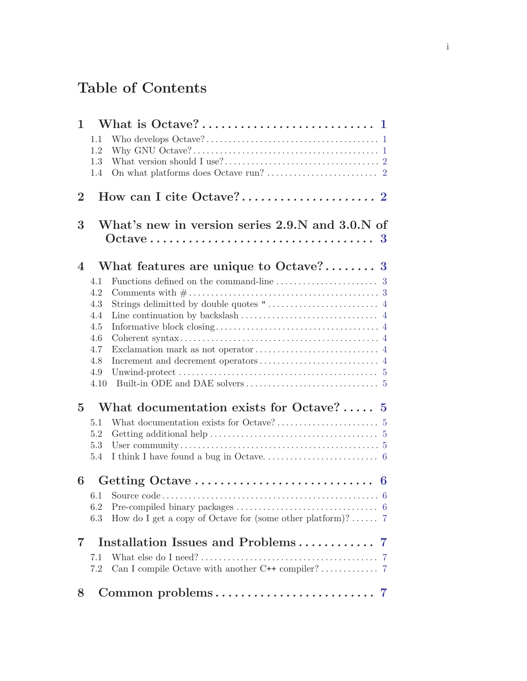# Table of Contents

| $\mathbf{1}$             |                                                                    |
|--------------------------|--------------------------------------------------------------------|
|                          | 1.1                                                                |
|                          | 1.2                                                                |
|                          | 1.3                                                                |
|                          | 1.4                                                                |
| $\overline{2}$           |                                                                    |
|                          |                                                                    |
| 3                        | What's new in version series 2.9.N and 3.0.N of                    |
|                          |                                                                    |
|                          |                                                                    |
| $\overline{\mathcal{A}}$ | What features are unique to Octave? 3                              |
|                          | 4.1                                                                |
|                          | 4.2                                                                |
|                          | 4.3                                                                |
|                          | 4.4<br>4.5                                                         |
|                          | 4.6                                                                |
|                          | 4.7                                                                |
|                          | 4.8                                                                |
|                          | 4.9                                                                |
|                          | 4.10                                                               |
| $\overline{5}$           | What documentation exists for Octave? 5                            |
|                          | 5.1                                                                |
|                          | 5.2                                                                |
|                          | 5.3                                                                |
|                          | 5.4                                                                |
| 6                        |                                                                    |
|                          | 6.1                                                                |
|                          | 6.2                                                                |
|                          | How do I get a copy of Octave for (some other platform)?  7<br>6.3 |
| $\overline{7}$           | Installation Issues and Problems<br>$\mathbf{7}$                   |
|                          | 7.1                                                                |
|                          | Can I compile Octave with another C++ compiler? 7<br>7.2           |
| 8                        | Common problems<br>-7                                              |